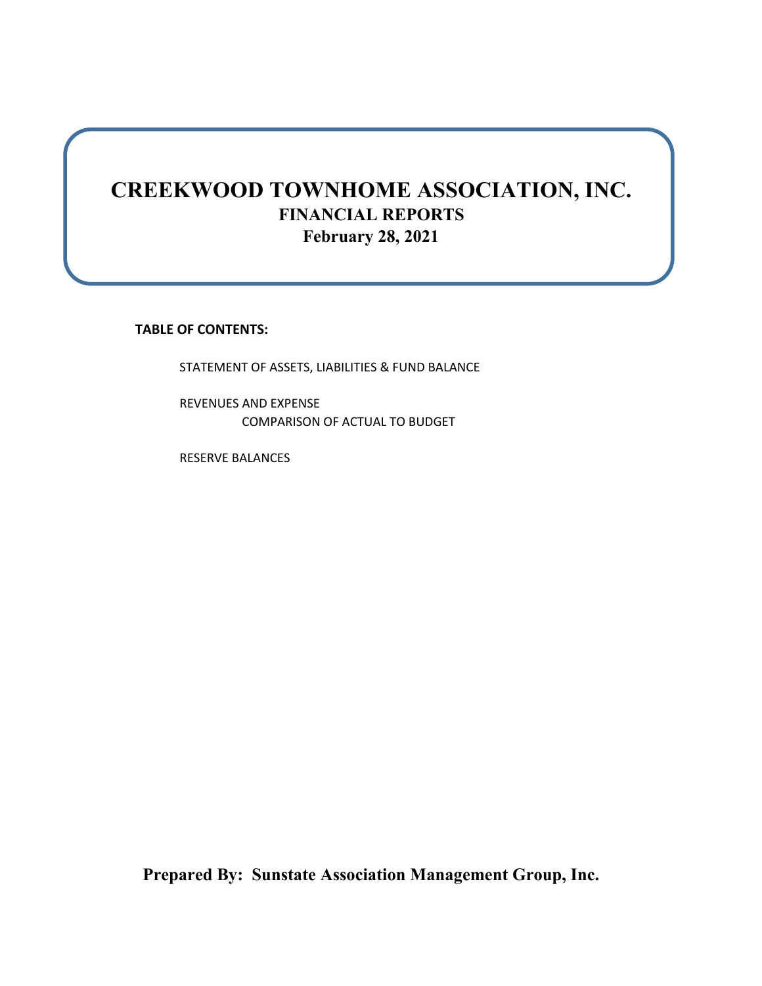## **CREEKWOOD TOWNHOME ASSOCIATION, INC. FINANCIAL REPORTS February 28, 2021**

**TABLE OF CONTENTS:**

STATEMENT OF ASSETS, LIABILITIES & FUND BALANCE

REVENUES AND EXPENSE COMPARISON OF ACTUAL TO BUDGET

RESERVE BALANCES

**Prepared By: Sunstate Association Management Group, Inc.**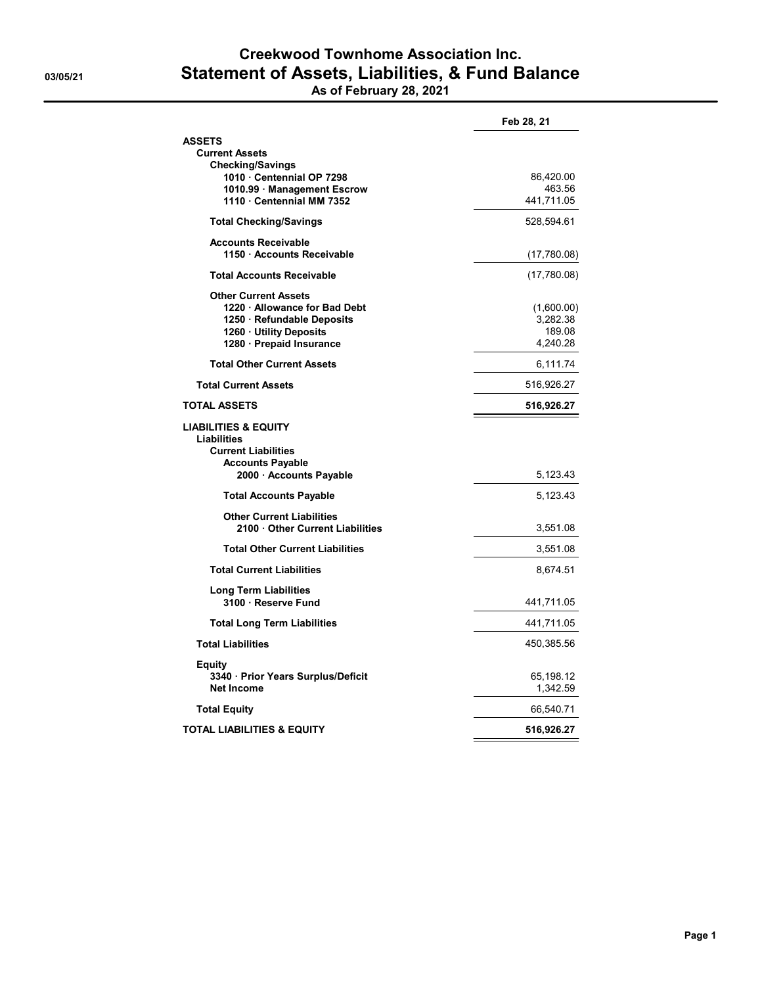## Creekwood Townhome Association Inc. 03/05/21 Statement of Assets, Liabilities, & Fund Balance As of February 28, 2021

|                                                                                                                | Feb 28, 21             |
|----------------------------------------------------------------------------------------------------------------|------------------------|
| <b>ASSETS</b>                                                                                                  |                        |
| <b>Current Assets</b>                                                                                          |                        |
| <b>Checking/Savings</b><br>1010 Centennial OP 7298                                                             |                        |
| 1010.99 · Management Escrow                                                                                    | 86,420.00<br>463.56    |
| 1110 Centennial MM 7352                                                                                        | 441,711.05             |
| <b>Total Checking/Savings</b>                                                                                  | 528,594.61             |
| <b>Accounts Receivable</b>                                                                                     |                        |
| 1150 Accounts Receivable                                                                                       | (17,780.08)            |
| <b>Total Accounts Receivable</b>                                                                               | (17,780.08)            |
| <b>Other Current Assets</b>                                                                                    |                        |
| 1220 Allowance for Bad Debt<br>1250 Refundable Deposits                                                        | (1,600.00)<br>3,282.38 |
| 1260 · Utility Deposits                                                                                        | 189.08                 |
| 1280 · Prepaid Insurance                                                                                       | 4,240.28               |
| <b>Total Other Current Assets</b>                                                                              | 6,111.74               |
| <b>Total Current Assets</b>                                                                                    | 516,926.27             |
| <b>TOTAL ASSETS</b>                                                                                            | 516,926.27             |
| <b>LIABILITIES &amp; EQUITY</b><br><b>Liabilities</b><br><b>Current Liabilities</b><br><b>Accounts Payable</b> |                        |
| 2000 · Accounts Payable                                                                                        | 5,123.43               |
| <b>Total Accounts Payable</b>                                                                                  | 5,123.43               |
| <b>Other Current Liabilities</b><br>2100 Other Current Liabilities                                             | 3,551.08               |
| <b>Total Other Current Liabilities</b>                                                                         | 3,551.08               |
| <b>Total Current Liabilities</b>                                                                               | 8,674.51               |
| Long Term Liabilities<br>3100 Reserve Fund                                                                     | 441,711.05             |
| <b>Total Long Term Liabilities</b>                                                                             | 441,711.05             |
| <b>Total Liabilities</b>                                                                                       | 450,385.56             |
| Equity<br>3340 · Prior Years Surplus/Deficit<br>Net Income                                                     | 65,198.12<br>1,342.59  |
| <b>Total Equity</b>                                                                                            | 66,540.71              |
| <b>TOTAL LIABILITIES &amp; EQUITY</b>                                                                          | 516,926.27             |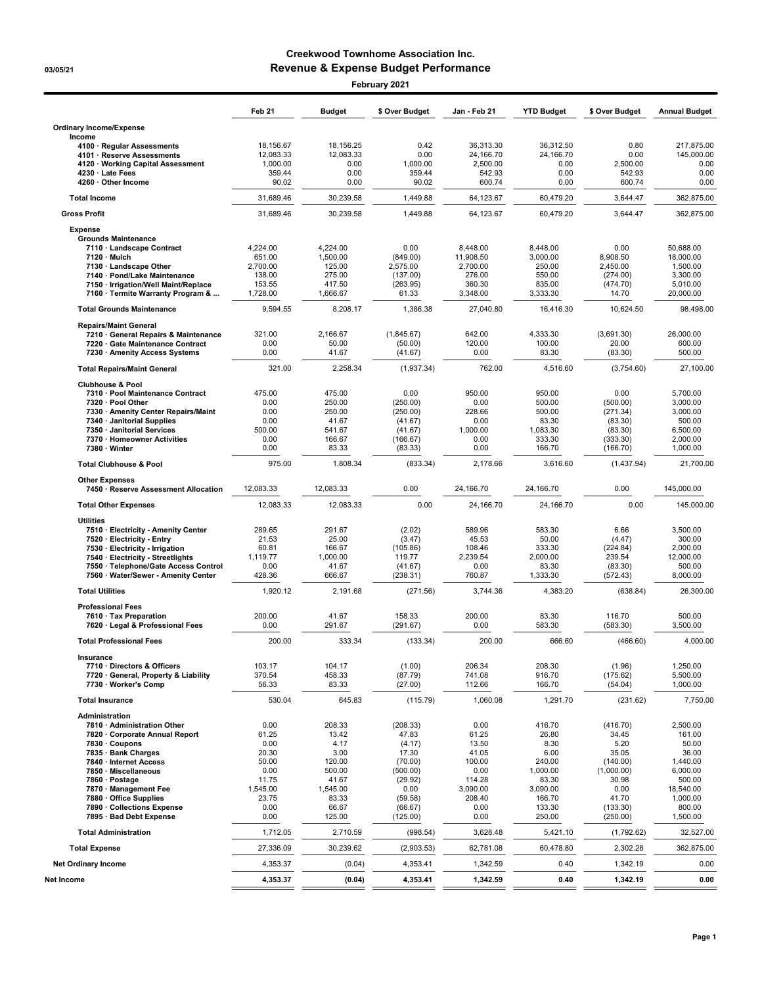## Creekwood Townhome Association Inc. 03/05/21 Revenue & Expense Budget Performance February 2021

|                                                                      | Feb 21             | <b>Budget</b>      | \$ Over Budget       | Jan Feb 21         | <b>YTD Budget</b>  | \$ Over Budget       | <b>Annual Budget</b>  |
|----------------------------------------------------------------------|--------------------|--------------------|----------------------|--------------------|--------------------|----------------------|-----------------------|
| <b>Ordinary Income/Expense</b>                                       |                    |                    |                      |                    |                    |                      |                       |
| Income<br>4100 · Regular Assessments                                 | 18,156.67          | 18,156.25          | 0.42                 | 36,313.30          | 36,312.50          | 0.80                 | 217,875.00            |
| 4101 · Reserve Assessments                                           | 12,083.33          | 12,083.33          | 0.00                 | 24.166.70          | 24,166.70          | 0.00                 | 145,000.00            |
| 4120 · Working Capital Assessment<br>4230 · Late Fees                | 1,000.00<br>359.44 | 0.00<br>0.00       | 1,000.00<br>359.44   | 2,500.00<br>542.93 | 0.00<br>0.00       | 2,500.00<br>542.93   | 0.00<br>0.00          |
| 4260 · Other Income                                                  | 90.02              | 0.00               | 90.02                | 600.74             | 0.00               | 600.74               | 0.00                  |
| <b>Total Income</b>                                                  | 31,689.46          | 30,239.58          | 1,449.88             | 64,123.67          | 60,479.20          | 3,644.47             | 362,875.00            |
| <b>Gross Profit</b>                                                  | 31,689.46          | 30,239.58          | 1,449.88             | 64,123.67          | 60,479.20          | 3,644.47             | 362,875.00            |
| <b>Expense</b>                                                       |                    |                    |                      |                    |                    |                      |                       |
| <b>Grounds Maintenance</b><br>7110 · Landscape Contract              | 4,224.00           | 4,224.00           | 0.00                 | 8,448.00           | 8,448.00           | 0.00                 | 50,688.00             |
| $7120 \cdot$ Mulch                                                   | 651.00             | 1,500.00           | (849.00)             | 11,908.50          | 3,000.00           | 8,908.50             | 18,000.00             |
| 7130 · Landscape Other                                               | 2,700.00           | 125.00             | 2,575.00             | 2,700.00           | 250.00             | 2,450.00             | 1,500.00              |
| 7140 · Pond/Lake Maintenance<br>7150 · Irrigation/Well Maint/Replace | 138.00<br>153.55   | 275.00<br>417.50   | (137.00)<br>(263.95) | 276.00<br>360.30   | 550.00<br>835.00   | (274.00)<br>(474.70) | 3,300.00<br>5,010.00  |
| 7160 · Termite Warranty Program &                                    | 1,728.00           | 1,666.67           | 61.33                | 3,348.00           | 3,333.30           | 14.70                | 20,000.00             |
| <b>Total Grounds Maintenance</b>                                     | 9,594.55           | 8,208.17           | 1,386.38             | 27,040.80          | 16,416.30          | 10,624.50            | 98,498.00             |
| <b>Repairs/Maint General</b>                                         |                    |                    |                      |                    |                    |                      |                       |
| 7210 · General Repairs & Maintenance                                 | 321.00             | 2,166.67           | (1,845.67)           | 642.00             | 4,333.30           | (3,691.30)           | 26,000.00             |
| 7220 · Gate Maintenance Contract<br>7230 · Amenity Access Systems    | 0.00<br>0.00       | 50.00<br>41.67     | (50.00)<br>(41.67)   | 120.00<br>0.00     | 100.00<br>83.30    | 20.00<br>(83.30)     | 600.00<br>500.00      |
| <b>Total Repairs/Maint General</b>                                   | 321.00             | 2,258.34           | (1,937.34)           | 762.00             | 4.516.60           | (3,754.60)           | 27,100.00             |
| <b>Clubhouse &amp; Pool</b>                                          |                    |                    |                      |                    |                    |                      |                       |
| 7310 · Pool Maintenance Contract                                     | 475.00             | 475.00             | 0.00                 | 950.00             | 950.00             | 0.00                 | 5,700.00              |
| 7320 · Pool Other<br>7330 · Amenity Center Repairs/Maint             | 0.00<br>0.00       | 250.00<br>250.00   | (250.00)<br>(250.00) | 0.00<br>228.66     | 500.00<br>500.00   | (500.00)<br>(271.34) | 3,000.00<br>3,000.00  |
| 7340 · Janitorial Supplies                                           | 0.00               | 41.67              | (41.67)              | 0.00               | 83.30              | (83.30)              | 500.00                |
| 7350 · Janitorial Services<br>7370 · Homeowner Activities            | 500.00<br>0.00     | 541.67<br>166.67   | (41.67)              | 1,000.00<br>0.00   | 1,083.30<br>333.30 | (83.30)              | 6,500.00              |
| 7380 · Winter                                                        | 0.00               | 83.33              | (166.67)<br>(83.33)  | 0.00               | 166.70             | (333.30)<br>(166.70) | 2,000.00<br>1.000.00  |
| <b>Total Clubhouse &amp; Pool</b>                                    | 975.00             | 1,808.34           | (833.34)             | 2,178.66           | 3,616.60           | (1,437.94)           | 21,700.00             |
| <b>Other Expenses</b><br>7450 · Reserve Assessment Allocation        | 12,083.33          | 12,083.33          | 0.00                 | 24,166.70          | 24,166.70          | 0.00                 | 145,000.00            |
| <b>Total Other Expenses</b>                                          | 12,083.33          | 12,083.33          | 0.00                 | 24,166.70          | 24,166.70          | 0.00                 | 145,000.00            |
| <b>Utilities</b>                                                     |                    |                    |                      |                    |                    |                      |                       |
| 7510 · Electricity - Amenity Center                                  | 289.65             | 291.67             | (2.02)               | 589.96             | 583.30             | 6.66                 | 3,500.00              |
| 7520 · Electricity - Entry                                           | 21.53              | 25.00              | (3.47)               | 45.53              | 50.00              | (4.47)               | 300.00                |
| 7530 · Electricity - Irrigation<br>7540 · Electricity - Streetlights | 60.81<br>1,119.77  | 166.67<br>1,000.00 | (105.86)<br>119.77   | 108.46<br>2,239.54 | 333.30<br>2,000.00 | (224.84)<br>239.54   | 2,000.00<br>12,000.00 |
| 7550 · Telephone/Gate Access Control                                 | 0.00               | 41.67              | (41.67)              | 0.00               | 83.30              | (83.30)              | 500.00                |
| 7560 · Water/Sewer - Amenity Center                                  | 428.36             | 666.67             | (238.31)             | 760.87             | 1.333.30           | (572.43)             | 8,000.00              |
| <b>Total Utilities</b>                                               | 1,920.12           | 2.191.68           | (271.56)             | 3,744.36           | 4,383.20           | (638.84)             | 26,300.00             |
| <b>Professional Fees</b>                                             |                    |                    |                      |                    |                    |                      |                       |
| 7610 · Tax Preparation<br>7620 · Legal & Professional Fees           | 200.00<br>0.00     | 41.67<br>291.67    | 158.33<br>(291.67)   | 200.00<br>0.00     | 83.30<br>583.30    | 116.70<br>(583.30)   | 500.00<br>3,500.00    |
| <b>Total Professional Fees</b>                                       | 200.00             | 333.34             | (133.34)             | 200.00             | 666.60             | (466.60)             | 4.000.00              |
| Insurance                                                            |                    |                    |                      |                    |                    |                      |                       |
| 7710 · Directors & Officers                                          | 103.17             | 104.17             | (1.00)               | 206.34             | 208.30             | (1.96)               | 1,250.00              |
| 7720 · General, Property & Liability<br>7730 · Worker's Comp         | 370.54<br>56.33    | 458.33<br>83.33    | (87.79)<br>(27.00)   | 741.08<br>112.66   | 916.70<br>166.70   | (175.62)<br>(54.04)  | 5,500.00<br>1,000.00  |
| <b>Total Insurance</b>                                               | 530.04             | 645.83             | (115.79)             | 1,060.08           | 1,291.70           | (231.62)             | 7,750.00              |
| Administration                                                       |                    |                    |                      |                    |                    |                      |                       |
| 7810 · Administration Other                                          | 0.00               | 208.33             | (208.33)             | 0.00               | 416.70             | (416.70)             | 2.500.00              |
| 7820 · Corporate Annual Report<br>7830 · Coupons                     | 61.25<br>0.00      | 13.42<br>4.17      | 47.83<br>(4.17)      | 61.25<br>13.50     | 26.80<br>8.30      | 34.45<br>5.20        | 161.00<br>50.00       |
| 7835 · Bank Charges                                                  | 20.30              | 3.00               | 17.30                | 41.05              | 6.00               | 35.05                | 36.00                 |
| 7840 · Internet Access                                               | 50.00              | 120.00             | (70.00)              | 100.00             | 240.00             | (140.00)             | 1,440.00              |
| 7850 · Miscellaneous                                                 | 0.00               | 500.00             | (500.00)             | 0.00               | 1,000.00           | (1,000.00)           | 6,000.00              |
| 7860 · Postage<br>7870 · Management Fee                              | 11.75<br>1,545.00  | 41.67<br>1,545.00  | (29.92)<br>0.00      | 114.28<br>3,090.00 | 83.30<br>3,090.00  | 30.98<br>0.00        | 500.00<br>18,540.00   |
| 7880 · Office Supplies                                               | 23.75              | 83.33              | (59.58)              | 208.40             | 166.70             | 41.70                | 1,000.00              |
| 7890 · Collections Expense<br>7895 · Bad Debt Expense                | 0.00<br>0.00       | 66.67<br>125.00    | (66.67)<br>(125.00)  | 0.00<br>0.00       | 133.30<br>250.00   | (133.30)<br>(250.00) | 800.00<br>1,500.00    |
| <b>Total Administration</b>                                          | 1,712.05           | 2,710.59           | (998.54)             | 3,628.48           | 5,421.10           | (1,792.62)           | 32,527.00             |
| <b>Total Expense</b>                                                 | 27,336.09          | 30,239.62          | (2,903.53)           | 62,781.08          | 60,478.80          | 2,302.28             | 362,875.00            |
| <b>Net Ordinary Income</b>                                           | 4,353.37           | (0.04)             | 4,353.41             | 1,342.59           | 0.40               | 1,342.19             | 0.00                  |
| Net Income                                                           | 4,353.37           | (0.04)             | 4,353.41             | 1,342.59           | 0.40               | 1,342.19             | 0.00                  |